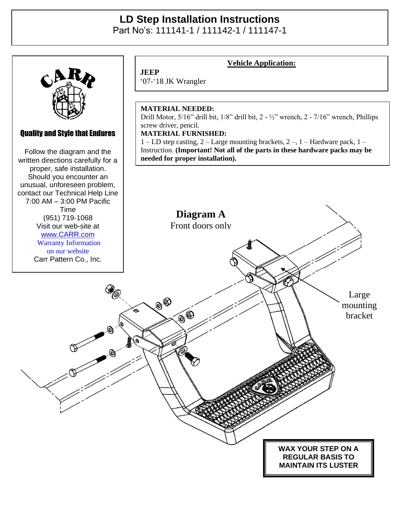## **LD Step Installation Instructions**

Part No's: 111141-1 / 111142-1 / 111147-1